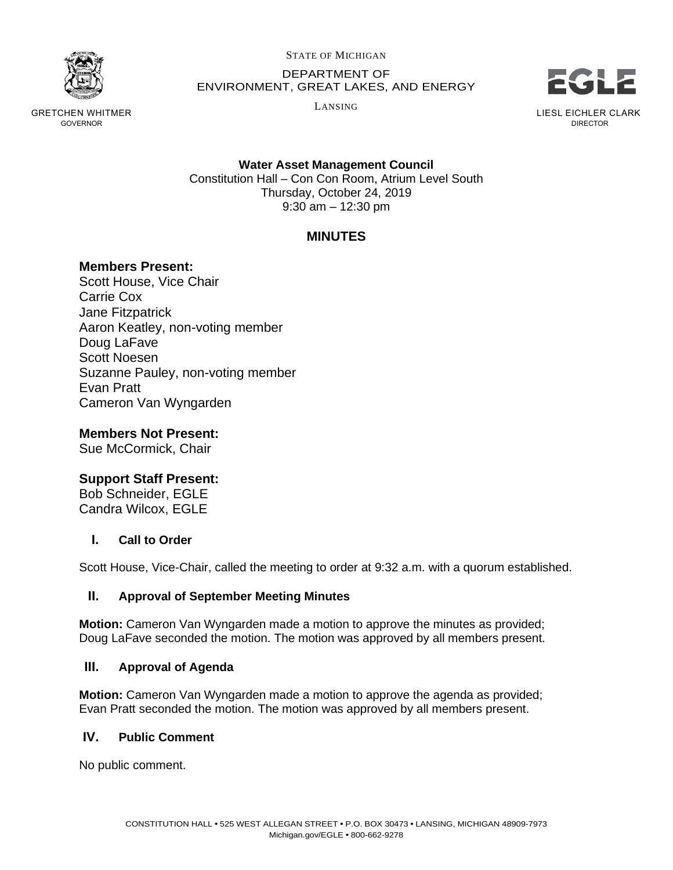

GRETCHEN WHITMER GOVERNOR

STATE OF MICHIGAN

DEPARTMENT OF ENVIRONMENT, GREAT LAKES, AND ENERGY

LANSING



LIESL EICHLER CLARK DIRECTOR

**Water Asset Management Council** Constitution Hall – Con Con Room, Atrium Level South Thursday, October 24, 2019 9:30 am – 12:30 pm

# **MINUTES**

## **Members Present:**

Scott House, Vice Chair Carrie Cox Jane Fitzpatrick Aaron Keatley, non-voting member Doug LaFave Scott Noesen Suzanne Pauley, non-voting member Evan Pratt Cameron Van Wyngarden

**Members Not Present:**

Sue McCormick, Chair

## **Support Staff Present:**

Bob Schneider, EGLE Candra Wilcox, EGLE

### **I. Call to Order**

Scott House, Vice-Chair, called the meeting to order at 9:32 a.m. with a quorum established.

### **II. Approval of September Meeting Minutes**

**Motion:** Cameron Van Wyngarden made a motion to approve the minutes as provided; Doug LaFave seconded the motion. The motion was approved by all members present.

### **III. Approval of Agenda**

**Motion:** Cameron Van Wyngarden made a motion to approve the agenda as provided; Evan Pratt seconded the motion. The motion was approved by all members present.

### **IV. Public Comment**

No public comment.